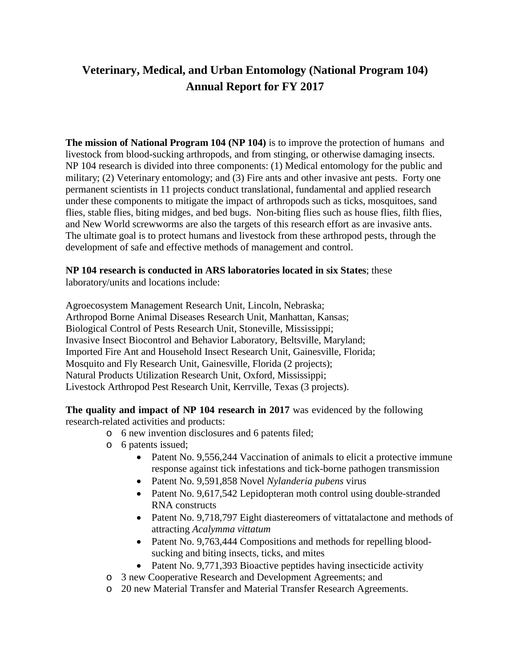## **Veterinary, Medical, and Urban Entomology (National Program 104) Annual Report for FY 2017**

**The mission of National Program 104 (NP 104)** is to improve the protection of humans and livestock from blood-sucking arthropods, and from stinging, or otherwise damaging insects. NP 104 research is divided into three components: (1) Medical entomology for the public and military; (2) Veterinary entomology; and (3) Fire ants and other invasive ant pests. Forty one permanent scientists in 11 projects conduct translational, fundamental and applied research under these components to mitigate the impact of arthropods such as ticks, mosquitoes, sand flies, stable flies, biting midges, and bed bugs. Non-biting flies such as house flies, filth flies, and New World screwworms are also the targets of this research effort as are invasive ants. The ultimate goal is to protect humans and livestock from these arthropod pests, through the development of safe and effective methods of management and control.

# **NP 104 research is conducted in ARS laboratories located in six States**; these

laboratory/units and locations include:

Agroecosystem Management Research Unit, Lincoln, Nebraska; Arthropod Borne Animal Diseases Research Unit, Manhattan, Kansas; Biological Control of Pests Research Unit, Stoneville, Mississippi; Invasive Insect Biocontrol and Behavior Laboratory, Beltsville, Maryland; Imported Fire Ant and Household Insect Research Unit, Gainesville, Florida; Mosquito and Fly Research Unit, Gainesville, Florida (2 projects); Natural Products Utilization Research Unit, Oxford, Mississippi; Livestock Arthropod Pest Research Unit, Kerrville, Texas (3 projects).

**The quality and impact of NP 104 research in 2017** was evidenced by the following research-related activities and products:

- o 6 new invention disclosures and 6 patents filed;
- o 6 patents issued;
	- Patent No. 9,556,244 Vaccination of animals to elicit a protective immune response against tick infestations and tick-borne pathogen transmission
	- Patent No. 9,591,858 Novel *Nylanderia pubens* virus
	- Patent No. 9,617,542 Lepidopteran moth control using double-stranded RNA constructs
	- Patent No. 9,718,797 Eight diastereomers of vittatalactone and methods of attracting *Acalymma vittatum*
	- Patent No. 9,763,444 Compositions and methods for repelling bloodsucking and biting insects, ticks, and mites
	- Patent No. 9,771,393 Bioactive peptides having insecticide activity
- o 3 new Cooperative Research and Development Agreements; and
- o 20 new Material Transfer and Material Transfer Research Agreements.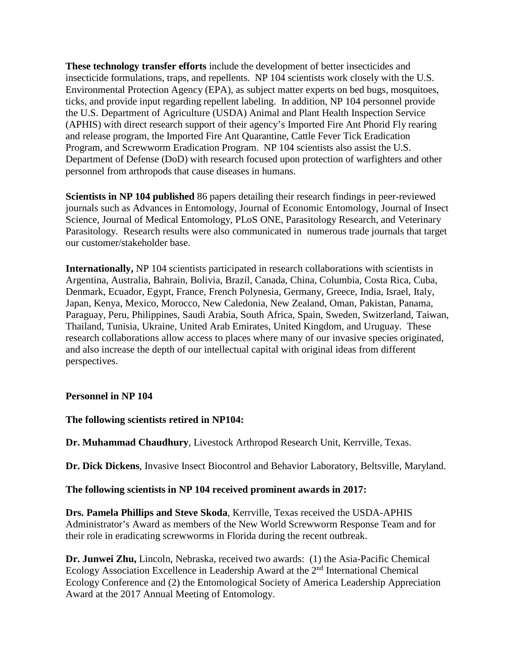**These technology transfer efforts** include the development of better insecticides and insecticide formulations, traps, and repellents. NP 104 scientists work closely with the U.S. Environmental Protection Agency (EPA), as subject matter experts on bed bugs, mosquitoes, ticks, and provide input regarding repellent labeling. In addition, NP 104 personnel provide the U.S. Department of Agriculture (USDA) Animal and Plant Health Inspection Service (APHIS) with direct research support of their agency's Imported Fire Ant Phorid Fly rearing and release program, the Imported Fire Ant Quarantine, Cattle Fever Tick Eradication Program, and Screwworm Eradication Program. NP 104 scientists also assist the U.S. Department of Defense (DoD) with research focused upon protection of warfighters and other personnel from arthropods that cause diseases in humans.

**Scientists in NP 104 published** 86 papers detailing their research findings in peer-reviewed journals such as Advances in Entomology, Journal of Economic Entomology, Journal of Insect Science, Journal of Medical Entomology, PLoS ONE, Parasitology Research, and Veterinary Parasitology. Research results were also communicated in numerous trade journals that target our customer/stakeholder base.

**Internationally,** NP 104 scientists participated in research collaborations with scientists in Argentina, Australia, Bahrain, Bolivia, Brazil, Canada, China, Columbia, Costa Rica, Cuba, Denmark, Ecuador, Egypt, France, French Polynesia, Germany, Greece, India, Israel, Italy, Japan, Kenya, Mexico, Morocco, New Caledonia, New Zealand, Oman, Pakistan, Panama, Paraguay, Peru, Philippines, Saudi Arabia, South Africa, Spain, Sweden, Switzerland, Taiwan, Thailand, Tunisia, Ukraine, United Arab Emirates, United Kingdom, and Uruguay. These research collaborations allow access to places where many of our invasive species originated, and also increase the depth of our intellectual capital with original ideas from different perspectives.

#### **Personnel in NP 104**

**The following scientists retired in NP104:**

**Dr. Muhammad Chaudhury**, Livestock Arthropod Research Unit, Kerrville, Texas.

**Dr. Dick Dickens**, Invasive Insect Biocontrol and Behavior Laboratory, Beltsville, Maryland.

#### **The following scientists in NP 104 received prominent awards in 2017:**

**Drs. Pamela Phillips and Steve Skoda**, Kerrville, Texas received the USDA-APHIS Administrator's Award as members of the New World Screwworm Response Team and for their role in eradicating screwworms in Florida during the recent outbreak.

**Dr. Junwei Zhu,** Lincoln, Nebraska, received two awards: (1) the Asia-Pacific Chemical Ecology Association Excellence in Leadership Award at the 2nd International Chemical Ecology Conference and (2) the Entomological Society of America Leadership Appreciation Award at the 2017 Annual Meeting of Entomology.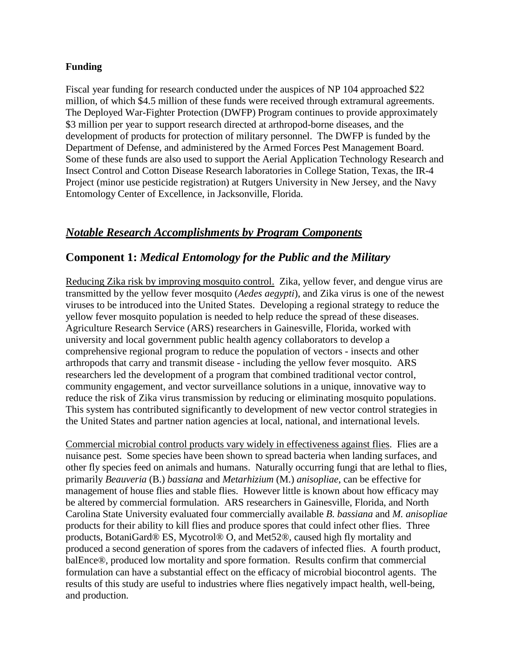#### **Funding**

Fiscal year funding for research conducted under the auspices of NP 104 approached \$22 million, of which \$4.5 million of these funds were received through extramural agreements. The Deployed War-Fighter Protection (DWFP) Program continues to provide approximately \$3 million per year to support research directed at arthropod-borne diseases, and the development of products for protection of military personnel. The DWFP is funded by the Department of Defense, and administered by the Armed Forces Pest Management Board. Some of these funds are also used to support the Aerial Application Technology Research and Insect Control and Cotton Disease Research laboratories in College Station, Texas, the IR-4 Project (minor use pesticide registration) at Rutgers University in New Jersey, and the Navy Entomology Center of Excellence, in Jacksonville, Florida.

## *Notable Research Accomplishments by Program Components*

### **Component 1:** *Medical Entomology for the Public and the Military*

Reducing Zika risk by improving mosquito control. Zika, yellow fever, and dengue virus are transmitted by the yellow fever mosquito (*Aedes aegypti*), and Zika virus is one of the newest viruses to be introduced into the United States. Developing a regional strategy to reduce the yellow fever mosquito population is needed to help reduce the spread of these diseases. Agriculture Research Service (ARS) researchers in Gainesville, Florida, worked with university and local government public health agency collaborators to develop a comprehensive regional program to reduce the population of vectors - insects and other arthropods that carry and transmit disease - including the yellow fever mosquito. ARS researchers led the development of a program that combined traditional vector control, community engagement, and vector surveillance solutions in a unique, innovative way to reduce the risk of Zika virus transmission by reducing or eliminating mosquito populations. This system has contributed significantly to development of new vector control strategies in the United States and partner nation agencies at local, national, and international levels.

Commercial microbial control products vary widely in effectiveness against flies. Flies are a nuisance pest. Some species have been shown to spread bacteria when landing surfaces, and other fly species feed on animals and humans. Naturally occurring fungi that are lethal to flies, primarily *Beauveria* (B.) *bassiana* and *Metarhizium* (M.) *anisopliae*, can be effective for management of house flies and stable flies. However little is known about how efficacy may be altered by commercial formulation. ARS researchers in Gainesville, Florida, and North Carolina State University evaluated four commercially available *B. bassiana* and *M. anisopliae* products for their ability to kill flies and produce spores that could infect other flies. Three products, BotaniGard® ES, Mycotrol® O, and Met52®, caused high fly mortality and produced a second generation of spores from the cadavers of infected flies. A fourth product, balEnce®, produced low mortality and spore formation. Results confirm that commercial formulation can have a substantial effect on the efficacy of microbial biocontrol agents. The results of this study are useful to industries where flies negatively impact health, well-being, and production.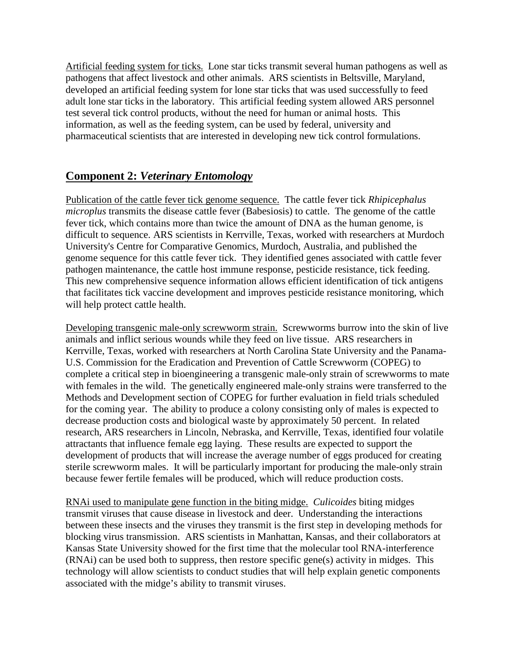Artificial feeding system for ticks. Lone star ticks transmit several human pathogens as well as pathogens that affect livestock and other animals. ARS scientists in Beltsville, Maryland, developed an artificial feeding system for lone star ticks that was used successfully to feed adult lone star ticks in the laboratory. This artificial feeding system allowed ARS personnel test several tick control products, without the need for human or animal hosts. This information, as well as the feeding system, can be used by federal, university and pharmaceutical scientists that are interested in developing new tick control formulations.

## **Component 2:** *Veterinary Entomology*

Publication of the cattle fever tick genome sequence. The cattle fever tick *Rhipicephalus microplus* transmits the disease cattle fever (Babesiosis) to cattle. The genome of the cattle fever tick, which contains more than twice the amount of DNA as the human genome, is difficult to sequence. ARS scientists in Kerrville, Texas, worked with researchers at Murdoch University's Centre for Comparative Genomics, Murdoch, Australia, and published the genome sequence for this cattle fever tick. They identified genes associated with cattle fever pathogen maintenance, the cattle host immune response, pesticide resistance, tick feeding. This new comprehensive sequence information allows efficient identification of tick antigens that facilitates tick vaccine development and improves pesticide resistance monitoring, which will help protect cattle health.

Developing transgenic male-only screwworm strain. Screwworms burrow into the skin of live animals and inflict serious wounds while they feed on live tissue. ARS researchers in Kerrville, Texas, worked with researchers at North Carolina State University and the Panama-U.S. Commission for the Eradication and Prevention of Cattle Screwworm (COPEG) to complete a critical step in bioengineering a transgenic male-only strain of screwworms to mate with females in the wild. The genetically engineered male-only strains were transferred to the Methods and Development section of COPEG for further evaluation in field trials scheduled for the coming year. The ability to produce a colony consisting only of males is expected to decrease production costs and biological waste by approximately 50 percent. In related research, ARS researchers in Lincoln, Nebraska, and Kerrville, Texas, identified four volatile attractants that influence female egg laying. These results are expected to support the development of products that will increase the average number of eggs produced for creating sterile screwworm males. It will be particularly important for producing the male-only strain because fewer fertile females will be produced, which will reduce production costs.

RNAi used to manipulate gene function in the biting midge. *Culicoides* biting midges transmit viruses that cause disease in livestock and deer. Understanding the interactions between these insects and the viruses they transmit is the first step in developing methods for blocking virus transmission. ARS scientists in Manhattan, Kansas, and their collaborators at Kansas State University showed for the first time that the molecular tool RNA-interference (RNAi) can be used both to suppress, then restore specific gene(s) activity in midges. This technology will allow scientists to conduct studies that will help explain genetic components associated with the midge's ability to transmit viruses.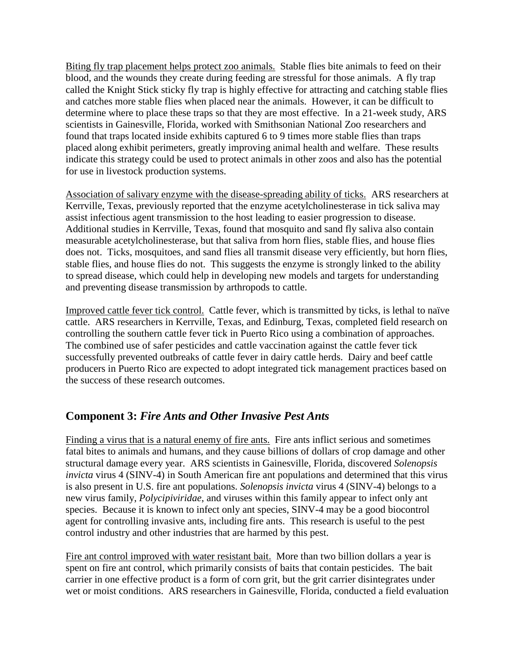Biting fly trap placement helps protect zoo animals. Stable flies bite animals to feed on their blood, and the wounds they create during feeding are stressful for those animals. A fly trap called the Knight Stick sticky fly trap is highly effective for attracting and catching stable flies and catches more stable flies when placed near the animals. However, it can be difficult to determine where to place these traps so that they are most effective. In a 21-week study, ARS scientists in Gainesville, Florida, worked with Smithsonian National Zoo researchers and found that traps located inside exhibits captured 6 to 9 times more stable flies than traps placed along exhibit perimeters, greatly improving animal health and welfare. These results indicate this strategy could be used to protect animals in other zoos and also has the potential for use in livestock production systems.

Association of salivary enzyme with the disease-spreading ability of ticks. ARS researchers at Kerrville, Texas, previously reported that the enzyme acetylcholinesterase in tick saliva may assist infectious agent transmission to the host leading to easier progression to disease. Additional studies in Kerrville, Texas, found that mosquito and sand fly saliva also contain measurable acetylcholinesterase, but that saliva from horn flies, stable flies, and house flies does not. Ticks, mosquitoes, and sand flies all transmit disease very efficiently, but horn flies, stable flies, and house flies do not. This suggests the enzyme is strongly linked to the ability to spread disease, which could help in developing new models and targets for understanding and preventing disease transmission by arthropods to cattle.

Improved cattle fever tick control. Cattle fever, which is transmitted by ticks, is lethal to naïve cattle. ARS researchers in Kerrville, Texas, and Edinburg, Texas, completed field research on controlling the southern cattle fever tick in Puerto Rico using a combination of approaches. The combined use of safer pesticides and cattle vaccination against the cattle fever tick successfully prevented outbreaks of cattle fever in dairy cattle herds. Dairy and beef cattle producers in Puerto Rico are expected to adopt integrated tick management practices based on the success of these research outcomes.

## **Component 3:** *Fire Ants and Other Invasive Pest Ants*

Finding a virus that is a natural enemy of fire ants. Fire ants inflict serious and sometimes fatal bites to animals and humans, and they cause billions of dollars of crop damage and other structural damage every year. ARS scientists in Gainesville, Florida, discovered *Solenopsis invicta* virus 4 (SINV-4) in South American fire ant populations and determined that this virus is also present in U.S. fire ant populations. *Solenopsis invicta* virus 4 (SINV-4) belongs to a new virus family, *Polycipiviridae*, and viruses within this family appear to infect only ant species. Because it is known to infect only ant species, SINV-4 may be a good biocontrol agent for controlling invasive ants, including fire ants. This research is useful to the pest control industry and other industries that are harmed by this pest.

Fire ant control improved with water resistant bait. More than two billion dollars a year is spent on fire ant control, which primarily consists of baits that contain pesticides. The bait carrier in one effective product is a form of corn grit, but the grit carrier disintegrates under wet or moist conditions. ARS researchers in Gainesville, Florida, conducted a field evaluation